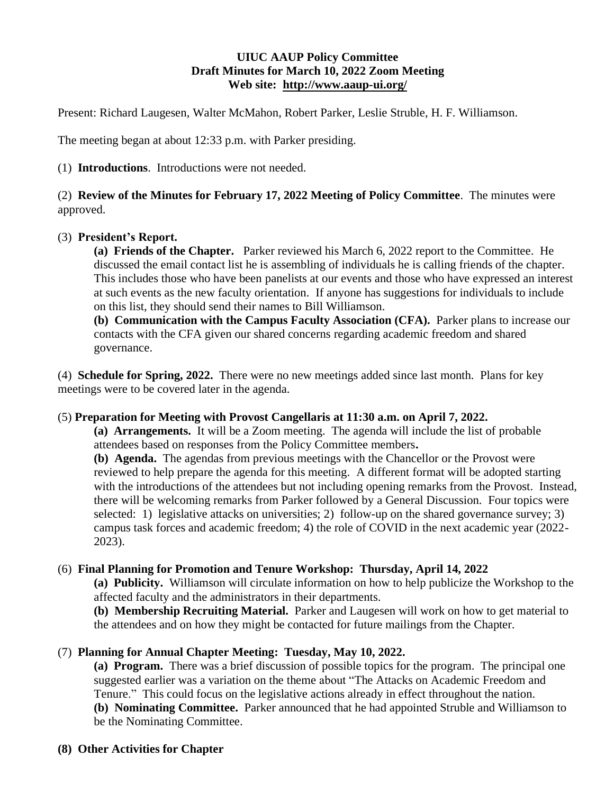### **UIUC AAUP Policy Committee Draft Minutes for March 10, 2022 Zoom Meeting Web site: <http://www.aaup-ui.org/>**

Present: Richard Laugesen, Walter McMahon, Robert Parker, Leslie Struble, H. F. Williamson.

The meeting began at about 12:33 p.m. with Parker presiding.

(1) **Introductions**. Introductions were not needed.

(2) **Review of the Minutes for February 17, 2022 Meeting of Policy Committee**. The minutes were approved.

### (3) **President's Report.**

**(a) Friends of the Chapter.** Parker reviewed his March 6, 2022 report to the Committee. He discussed the email contact list he is assembling of individuals he is calling friends of the chapter. This includes those who have been panelists at our events and those who have expressed an interest at such events as the new faculty orientation. If anyone has suggestions for individuals to include on this list, they should send their names to Bill Williamson.

**(b) Communication with the Campus Faculty Association (CFA).** Parker plans to increase our contacts with the CFA given our shared concerns regarding academic freedom and shared governance.

(4) **Schedule for Spring, 2022.** There were no new meetings added since last month. Plans for key meetings were to be covered later in the agenda.

#### (5) **Preparation for Meeting with Provost Cangellaris at 11:30 a.m. on April 7, 2022.**

**(a) Arrangements.** It will be a Zoom meeting. The agenda will include the list of probable attendees based on responses from the Policy Committee members**.**

**(b) Agenda.** The agendas from previous meetings with the Chancellor or the Provost were reviewed to help prepare the agenda for this meeting.A different format will be adopted starting with the introductions of the attendees but not including opening remarks from the Provost. Instead, there will be welcoming remarks from Parker followed by a General Discussion. Four topics were selected: 1) legislative attacks on universities; 2) follow-up on the shared governance survey; 3) campus task forces and academic freedom; 4) the role of COVID in the next academic year (2022- 2023).

# (6) **Final Planning for Promotion and Tenure Workshop: Thursday, April 14, 2022**

**(a) Publicity.** Williamson will circulate information on how to help publicize the Workshop to the affected faculty and the administrators in their departments.

**(b) Membership Recruiting Material.** Parker and Laugesen will work on how to get material to the attendees and on how they might be contacted for future mailings from the Chapter.

#### (7) **Planning for Annual Chapter Meeting: Tuesday, May 10, 2022.**

**(a) Program.** There was a brief discussion of possible topics for the program. The principal one suggested earlier was a variation on the theme about "The Attacks on Academic Freedom and Tenure." This could focus on the legislative actions already in effect throughout the nation. **(b) Nominating Committee.** Parker announced that he had appointed Struble and Williamson to be the Nominating Committee.

# **(8) Other Activities for Chapter**